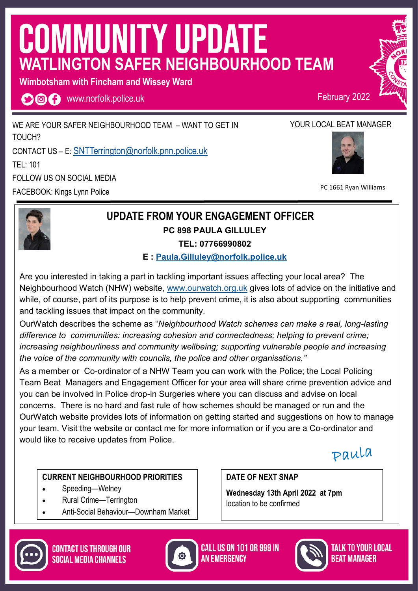# **COMMUNITY UPDATE WATLINGTON SAFER NEIGHBOURHOOD TEAM**

**Wimbotsham with Fincham and Wissey Ward** 

**OOO** www.norfolk.police.uk

WE ARE YOUR SAFER NEIGHBOURHOOD TEAM – WANT TO GET IN TOUCH? CONTACT US – E: SNTTerrington@norfolk.pnn.police.uk TEL: 101 FOLLOW US ON SOCIAL MEDIA FACEBOOK: Kings Lynn Police



February 2022



PC 1661 Ryan Williams

### **UPDATE FROM YOUR ENGAGEMENT OFFICER PC 898 PAULA GILLULEY TEL: 07766990802**

**E : Paula.Gilluley@norfolk.police.uk**

Are you interested in taking a part in tackling important issues affecting your local area? The Neighbourhood Watch (NHW) website, www.ourwatch.org.uk gives lots of advice on the initiative and while, of course, part of its purpose is to help prevent crime, it is also about supporting communities and tackling issues that impact on the community.

OurWatch describes the scheme as "*Neighbourhood Watch schemes can make a real, long-lasting difference to communities: increasing cohesion and connectedness; helping to prevent crime; increasing neighbourliness and community wellbeing; supporting vulnerable people and increasing the voice of the community with councils, the police and other organisations."* 

As a member or Co-ordinator of a NHW Team you can work with the Police; the Local Policing Team Beat Managers and Engagement Officer for your area will share crime prevention advice and you can be involved in Police drop-in Surgeries where you can discuss and advise on local concerns. There is no hard and fast rule of how schemes should be managed or run and the OurWatch website provides lots of information on getting started and suggestions on how to manage your team. Visit the website or contact me for more information or if you are a Co-ordinator and would like to receive updates from Police.

paula

#### **CURRENT NEIGHBOURHOOD PRIORITIES**

- Speeding-Welney
- Rural Crime—Terrington
- Anti-Social Behaviour—Downham Market

**DATE OF NEXT SNAP** 

**Wednesday 13th April 2022 at 7pm**  location to be confirmed





**CALL US ON 101 OR 999 IN AN FMFRGFNCY** 



TALK TO YOUR LOCAL *Reat Manager*